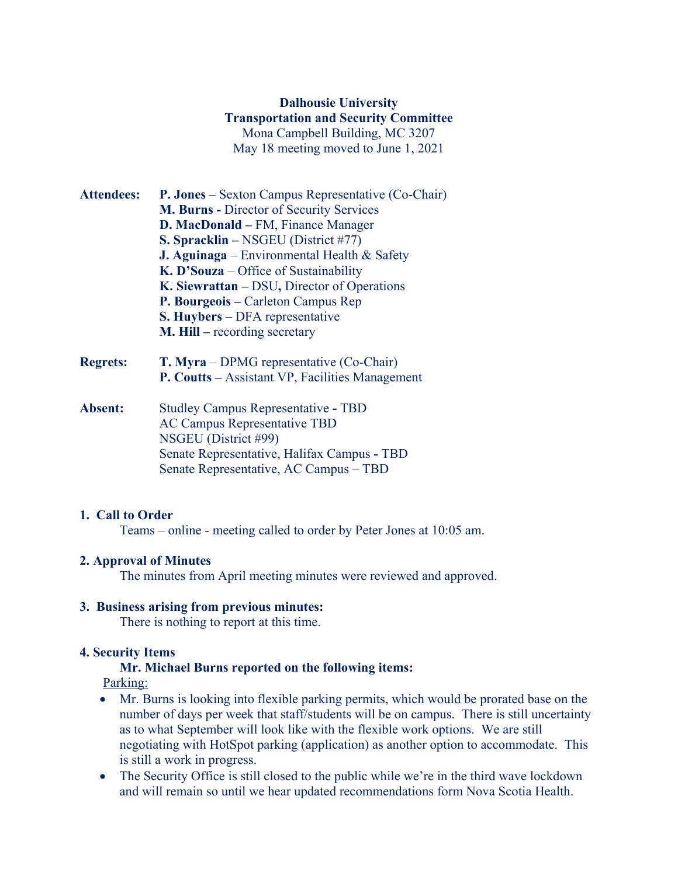# **Dalhousie University Transportation and Security Committee** Mona Campbell Building, MC 3207 May 18 meeting moved to June 1, 2021

- **Attendees: P. Jones** Sexton Campus Representative (Co-Chair) **M. Burns -** Director of Security Services **D. MacDonald –** FM, Finance Manager **S. Spracklin –** NSGEU (District #77) **J. Aguinaga** – Environmental Health & Safety **K. D'Souza** – Office of Sustainability **K. Siewrattan –** DSU**,** Director of Operations **P. Bourgeois –** Carleton Campus Rep **S. Huybers** – DFA representative **M. Hill –** recording secretary
- **Regrets: T. Myra** DPMG representative (Co-Chair) **P. Coutts –** Assistant VP, Facilities Management
- **Absent:** Studley Campus Representative **-** TBD AC Campus Representative TBD NSGEU (District #99) Senate Representative, Halifax Campus **-** TBD Senate Representative, AC Campus – TBD

## **1. Call to Order**

Teams – online - meeting called to order by Peter Jones at 10:05 am.

## **2. Approval of Minutes**

The minutes from April meeting minutes were reviewed and approved.

### **3. Business arising from previous minutes:**

There is nothing to report at this time.

### **4. Security Items**

### **Mr. Michael Burns reported on the following items:**

Parking:

- Mr. Burns is looking into flexible parking permits, which would be prorated base on the number of days per week that staff/students will be on campus. There is still uncertainty as to what September will look like with the flexible work options. We are still negotiating with HotSpot parking (application) as another option to accommodate. This is still a work in progress.
- The Security Office is still closed to the public while we're in the third wave lockdown and will remain so until we hear updated recommendations form Nova Scotia Health.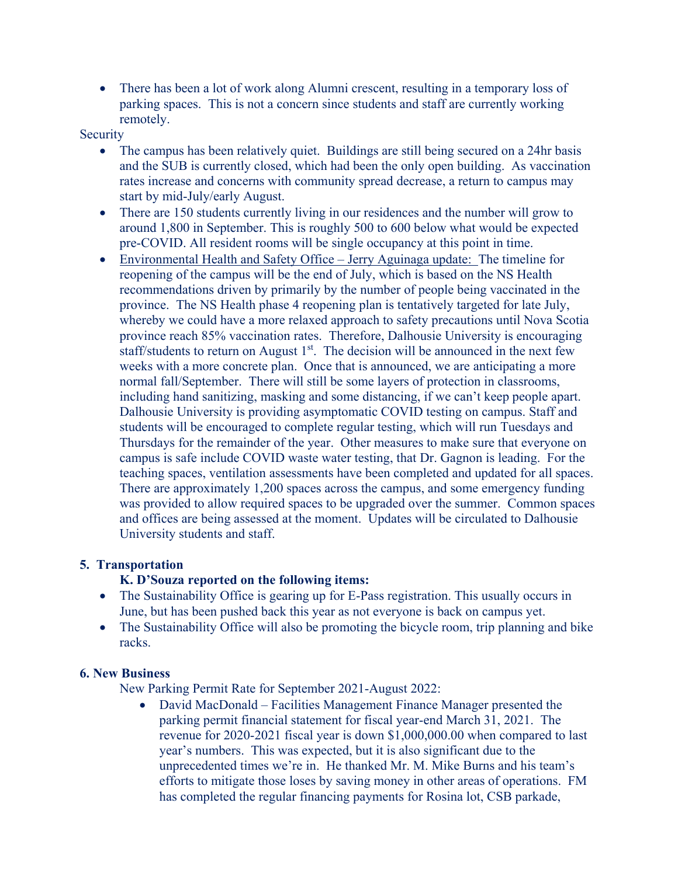• There has been a lot of work along Alumni crescent, resulting in a temporary loss of parking spaces. This is not a concern since students and staff are currently working remotely.

#### Security

- The campus has been relatively quiet. Buildings are still being secured on a 24hr basis and the SUB is currently closed, which had been the only open building. As vaccination rates increase and concerns with community spread decrease, a return to campus may start by mid-July/early August.
- There are 150 students currently living in our residences and the number will grow to around 1,800 in September. This is roughly 500 to 600 below what would be expected pre-COVID. All resident rooms will be single occupancy at this point in time.
- Environmental Health and Safety Office Jerry Aguinaga update: The timeline for reopening of the campus will be the end of July, which is based on the NS Health recommendations driven by primarily by the number of people being vaccinated in the province. The NS Health phase 4 reopening plan is tentatively targeted for late July, whereby we could have a more relaxed approach to safety precautions until Nova Scotia province reach 85% vaccination rates. Therefore, Dalhousie University is encouraging staff/students to return on August  $1<sup>st</sup>$ . The decision will be announced in the next few weeks with a more concrete plan. Once that is announced, we are anticipating a more normal fall/September. There will still be some layers of protection in classrooms, including hand sanitizing, masking and some distancing, if we can't keep people apart. Dalhousie University is providing asymptomatic COVID testing on campus. Staff and students will be encouraged to complete regular testing, which will run Tuesdays and Thursdays for the remainder of the year. Other measures to make sure that everyone on campus is safe include COVID waste water testing, that Dr. Gagnon is leading. For the teaching spaces, ventilation assessments have been completed and updated for all spaces. There are approximately 1,200 spaces across the campus, and some emergency funding was provided to allow required spaces to be upgraded over the summer. Common spaces and offices are being assessed at the moment. Updates will be circulated to Dalhousie University students and staff.

### **5. Transportation**

### **K. D'Souza reported on the following items:**

- The Sustainability Office is gearing up for E-Pass registration. This usually occurs in June, but has been pushed back this year as not everyone is back on campus yet.
- The Sustainability Office will also be promoting the bicycle room, trip planning and bike racks.

### **6. New Business**

New Parking Permit Rate for September 2021-August 2022:

• David MacDonald – Facilities Management Finance Manager presented the parking permit financial statement for fiscal year-end March 31, 2021. The revenue for 2020-2021 fiscal year is down \$1,000,000.00 when compared to last year's numbers. This was expected, but it is also significant due to the unprecedented times we're in. He thanked Mr. M. Mike Burns and his team's efforts to mitigate those loses by saving money in other areas of operations. FM has completed the regular financing payments for Rosina lot, CSB parkade,